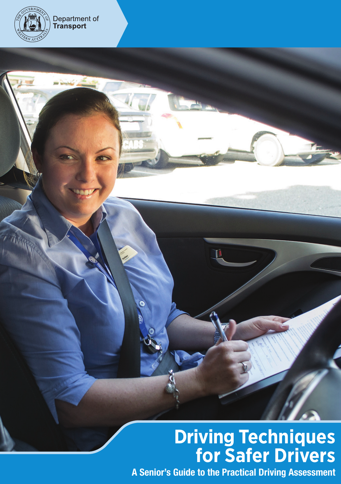

# **Driving Techniques for Safer Drivers**

A Senior's Guide to the Practical Driving Assessment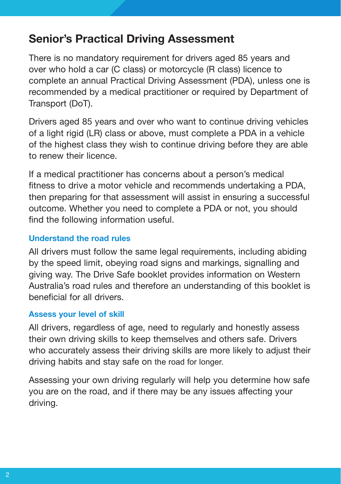## Senior's Practical Driving Assessment

There is no mandatory requirement for drivers aged 85 years and over who hold a car (C class) or motorcycle (R class) licence to complete an annual Practical Driving Assessment (PDA), unless one is recommended by a medical practitioner or required by Department of Transport (DoT).

Drivers aged 85 years and over who want to continue driving vehicles of a light rigid (LR) class or above, must complete a PDA in a vehicle of the highest class they wish to continue driving before they are able to renew their licence.

If a medical practitioner has concerns about a person's medical fitness to drive a motor vehicle and recommends undertaking a PDA, then preparing for that assessment will assist in ensuring a successful outcome. Whether you need to complete a PDA or not, you should find the following information useful.

### Understand the road rules

All drivers must follow the same legal requirements, including abiding by the speed limit, obeying road signs and markings, signalling and giving way. The Drive Safe booklet provides information on Western Australia's road rules and therefore an understanding of this booklet is beneficial for all drivers.

## Assess your level of skill

All drivers, regardless of age, need to regularly and honestly assess their own driving skills to keep themselves and others safe. Drivers who accurately assess their driving skills are more likely to adjust their driving habits and stay safe on the road for longer.

Assessing your own driving regularly will help you determine how safe you are on the road, and if there may be any issues affecting your driving.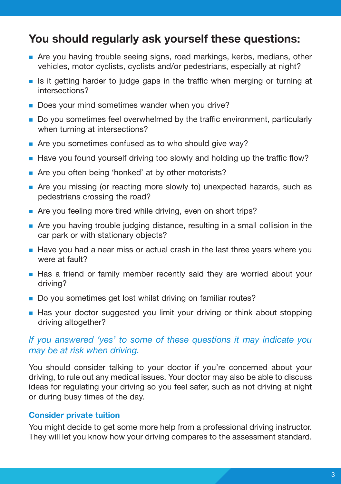## You should regularly ask yourself these questions:

- <sup>n</sup> Are you having trouble seeing signs, road markings, kerbs, medians, other vehicles, motor cyclists, cyclists and/or pedestrians, especially at night?
- <sup>n</sup> Is it getting harder to judge gaps in the traffic when merging or turning at intersections?
- Does your mind sometimes wander when you drive?
- <sup>n</sup> Do you sometimes feel overwhelmed by the traffic environment, particularly when turning at intersections?
- $\blacksquare$  Are you sometimes confused as to who should give way?
- Have you found yourself driving too slowly and holding up the traffic flow?
- Are you often being 'honked' at by other motorists?
- n Are you missing (or reacting more slowly to) unexpected hazards, such as pedestrians crossing the road?
- n Are you feeling more tired while driving, even on short trips?
- <sup>n</sup> Are you having trouble judging distance, resulting in a small collision in the car park or with stationary objects?
- <sup>n</sup> Have you had a near miss or actual crash in the last three years where you were at fault?
- <sup>n</sup> Has a friend or family member recently said they are worried about your driving?
- Do you sometimes get lost whilst driving on familiar routes?
- n Has your doctor suggested you limit your driving or think about stopping driving altogether?

#### *If you answered 'yes' to some of these questions it may indicate you may be at risk when driving.*

You should consider talking to your doctor if you're concerned about your driving, to rule out any medical issues. Your doctor may also be able to discuss ideas for regulating your driving so you feel safer, such as not driving at night or during busy times of the day.

#### Consider private tuition

You might decide to get some more help from a professional driving instructor. They will let you know how your driving compares to the assessment standard.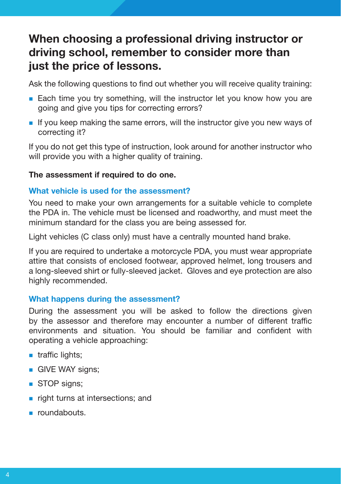# When choosing a professional driving instructor or driving school, remember to consider more than just the price of lessons.

Ask the following questions to find out whether you will receive quality training:

- Each time you try something, will the instructor let you know how you are going and give you tips for correcting errors?
- <sup>n</sup> If you keep making the same errors, will the instructor give you new ways of correcting it?

If you do not get this type of instruction, look around for another instructor who will provide you with a higher quality of training.

#### The assessment if required to do one.

#### What vehicle is used for the assessment?

You need to make your own arrangements for a suitable vehicle to complete the PDA in. The vehicle must be licensed and roadworthy, and must meet the minimum standard for the class you are being assessed for.

Light vehicles (C class only) must have a centrally mounted hand brake.

If you are required to undertake a motorcycle PDA, you must wear appropriate attire that consists of enclosed footwear, approved helmet, long trousers and a long-sleeved shirt or fully-sleeved jacket. Gloves and eye protection are also highly recommended.

#### What happens during the assessment?

During the assessment you will be asked to follow the directions given by the assessor and therefore may encounter a number of different traffic environments and situation. You should be familiar and confident with operating a vehicle approaching:

- $\blacksquare$  traffic lights;
- **n** GIVE WAY signs:
- STOP signs;
- $\blacksquare$  right turns at intersections; and
- <sup>n</sup> roundabouts.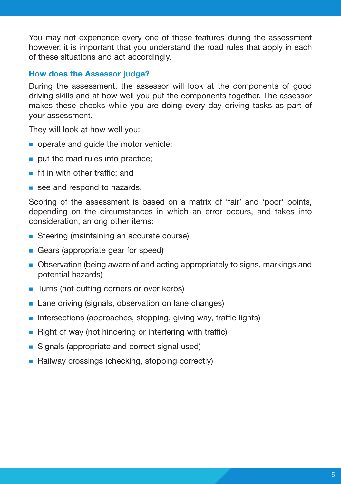You may not experience every one of these features during the assessment however, it is important that you understand the road rules that apply in each of these situations and act accordingly.

#### How does the Assessor judge?

During the assessment, the assessor will look at the components of good driving skills and at how well you put the components together. The assessor makes these checks while you are doing every day driving tasks as part of your assessment.

They will look at how well you:

- operate and quide the motor vehicle;
- $\blacksquare$  put the road rules into practice;
- $\blacksquare$  fit in with other traffic; and
- see and respond to hazards.

Scoring of the assessment is based on a matrix of 'fair' and 'poor' points, depending on the circumstances in which an error occurs, and takes into consideration, among other items:

- Steering (maintaining an accurate course)
- Gears (appropriate gear for speed)
- <sup>n</sup> Observation (being aware of and acting appropriately to signs, markings and potential hazards)
- Turns (not cutting corners or over kerbs)
- Lane driving (signals, observation on lane changes)
- n Intersections (approaches, stopping, giving way, traffic lights)
- Right of way (not hindering or interfering with traffic)
- Signals (appropriate and correct signal used)
- Railway crossings (checking, stopping correctly)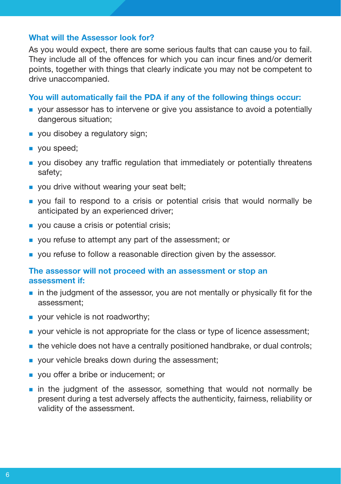#### What will the Assessor look for?

As you would expect, there are some serious faults that can cause you to fail. They include all of the offences for which you can incur fines and/or demerit points, together with things that clearly indicate you may not be competent to drive unaccompanied.

#### You will automatically fail the PDA if any of the following things occur:

- <sup>n</sup> your assessor has to intervene or give you assistance to avoid a potentially dangerous situation;
- vou disobey a regulatory sign;
- vou speed;
- <sup>n</sup> you disobey any traffic regulation that immediately or potentially threatens safety;
- $\blacksquare$  you drive without wearing your seat belt;
- <sup>n</sup> you fail to respond to a crisis or potential crisis that would normally be anticipated by an experienced driver;
- vou cause a crisis or potential crisis;
- vou refuse to attempt any part of the assessment; or
- vou refuse to follow a reasonable direction given by the assessor.

#### The assessor will not proceed with an assessment or stop an assessment if:

- $\blacksquare$  in the judgment of the assessor, you are not mentally or physically fit for the assessment;
- $\blacksquare$  your vehicle is not roadworthy;
- <sup>n</sup> your vehicle is not appropriate for the class or type of licence assessment;
- n the vehicle does not have a centrally positioned handbrake, or dual controls;
- vour vehicle breaks down during the assessment:
- vou offer a bribe or inducement; or
- n in the judgment of the assessor, something that would not normally be present during a test adversely affects the authenticity, fairness, reliability or validity of the assessment.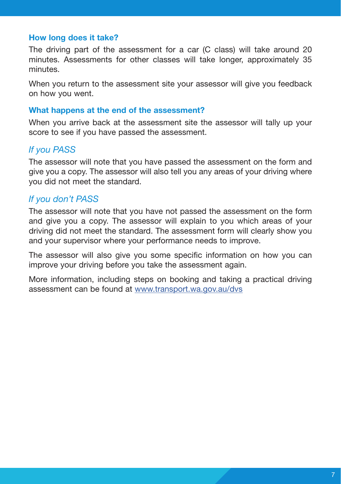#### How long does it take?

The driving part of the assessment for a car (C class) will take around 20 minutes. Assessments for other classes will take longer, approximately 35 minutes.

When you return to the assessment site your assessor will give you feedback on how you went.

#### What happens at the end of the assessment?

When you arrive back at the assessment site the assessor will tally up your score to see if you have passed the assessment.

#### *If you PASS*

The assessor will note that you have passed the assessment on the form and give you a copy. The assessor will also tell you any areas of your driving where you did not meet the standard.

#### *If you don't PASS*

The assessor will note that you have not passed the assessment on the form and give you a copy. The assessor will explain to you which areas of your driving did not meet the standard. The assessment form will clearly show you and your supervisor where your performance needs to improve.

The assessor will also give you some specific information on how you can improve your driving before you take the assessment again.

More information, including steps on booking and taking a practical driving assessment can be found at [www.transport.wa.gov.au/dvs](http://www.transport.wa.gov.au/dvs)